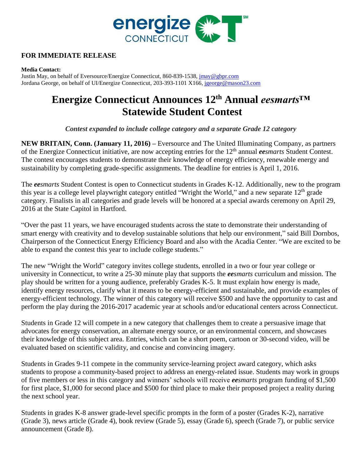

# **FOR IMMEDIATE RELEASE**

### **Media Contact:**

Justin May, on behalf of Eversource/Energize Connecticut, 860-839-1538[, jmay@gbpr.com](mailto:jmay@gbpr.com) Jordana George, on behalf of UI/Energize Connecticut, 203-393-1101 X166, [jgeorge@mason23.com](mailto:jgeorge@mason23.com)

# **Energize Connecticut Announces 12th Annual** *eesmarts™*  **Statewide Student Contest**

*Contest expanded to include college category and a separate Grade 12 category* 

**NEW BRITAIN, Conn. (January 11, 2016) –** Eversource and The United Illuminating Company, as partners of the Energize Connecticut initiative, are now accepting entries for the 12th annual *eesmarts* Student Contest. The contest encourages students to demonstrate their knowledge of energy efficiency, renewable energy and sustainability by completing grade-specific assignments. The deadline for entries is April 1, 2016.

The *eesmarts* Student Contest is open to Connecticut students in Grades K-12. Additionally, new to the program this year is a college level playwright category entitled "Wright the World," and a new separate  $12<sup>th</sup>$  grade category. Finalists in all categories and grade levels will be honored at a special awards ceremony on April 29, 2016 at the State Capitol in Hartford.

"Over the past 11 years, we have encouraged students across the state to demonstrate their understanding of smart energy with creativity and to develop sustainable solutions that help our environment," said Bill Dornbos, Chairperson of the Connecticut Energy Efficiency Board and also with the Acadia Center. "We are excited to be able to expand the contest this year to include college students."

The new "Wright the World" category invites college students, enrolled in a two or four year college or university in Connecticut, to write a 25-30 minute play that supports the *eesmarts* curriculum and mission. The play should be written for a young audience, preferably Grades K-5. It must explain how energy is made, identify energy resources, clarify what it means to be energy-efficient and sustainable, and provide examples of energy-efficient technology. The winner of this category will receive \$500 and have the opportunity to cast and perform the play during the 2016-2017 academic year at schools and/or educational centers across Connecticut.

Students in Grade 12 will compete in a new category that challenges them to create a persuasive image that advocates for energy conservation, an alternate energy source, or an environmental concern, and showcases their knowledge of this subject area. Entries, which can be a short poem, cartoon or 30-second video, will be evaluated based on scientific validity, and concise and convincing imagery.

Students in Grades 9-11 compete in the community service-learning project award category, which asks students to propose a community-based project to address an energy-related issue. Students may work in groups of five members or less in this category and winners' schools will receive *eesmarts* program funding of \$1,500 for first place, \$1,000 for second place and \$500 for third place to make their proposed project a reality during the next school year.

Students in grades K-8 answer grade-level specific prompts in the form of a poster (Grades K-2), narrative (Grade 3), news article (Grade 4), book review (Grade 5), essay (Grade 6), speech (Grade 7), or public service announcement (Grade 8).